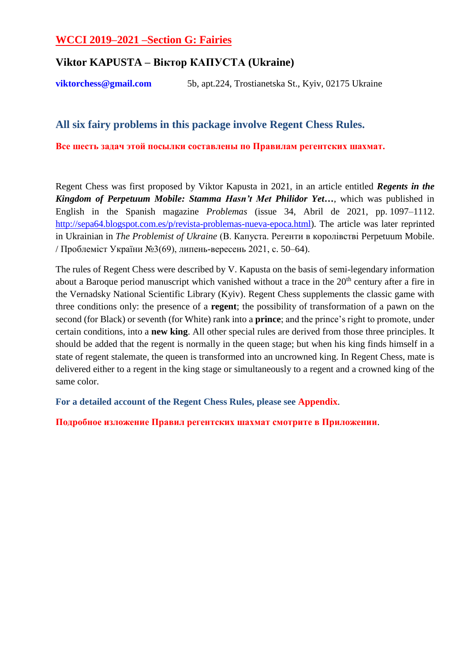# **WCCI 2019–2021 –Section G: Fairies**

# **Viktor KAPUSTA – Віктор КАПУСТА (Ukraine)**

**[viktorchess@gmail.com](mailto:viktorchess@gmail.com)** 5b, apt.224, Trostianetska St., Kyiv, 02175 Ukraine

# **All six fairy problems in this package involve Regent Chess Rules.**

**Все шесть задач этой посылки составлены по Правилам регентских шахмат.**

Regent Chess was first proposed by Viktor Kapusta in 2021, in an article entitled *Regents in the Kingdom of Perpetuum Mobile: Stamma Hasn't Met Philidor Yet…*, which was published in English in the Spanish magazine *Problemas* (issue 34, Abril de 2021, pp. 1097–1112. [http://sepa64.blogspot.com.es/p/revista-problemas-nueva-epoca.html\)](http://sepa64.blogspot.com.es/p/revista-problemas-nueva-epoca.html). The article was later reprinted in Ukrainian in *The Problemist of Ukraine* (В. Капуста. Регенти в королівстві Perpetuum Mobile. / Проблеміст України №3(69), липень-вересень 2021, с. 50–64).

The rules of Regent Chess were described by V. Kapusta on the basis of semi-legendary information about a Baroque period manuscript which vanished without a trace in the 20<sup>th</sup> century after a fire in the Vernadsky National Scientific Library (Kyiv). Regent Chess supplements the classic game with three conditions only: the presence of a **regent**; the possibility of transformation of a pawn on the second (for Black) or seventh (for White) rank into a **prince**; and the prince's right to promote, under certain conditions, into a **new king**. All other special rules are derived from those three principles. It should be added that the regent is normally in the queen stage; but when his king finds himself in a state of regent stalemate, the queen is transformed into an uncrowned king. In Regent Chess, mate is delivered either to a regent in the king stage or simultaneously to a regent and a crowned king of the same color.

**For a detailed account of the Regent Chess Rules, please see Appendix**.

**Подробное изложение Правил регентских шахмат смотрите в Приложении**.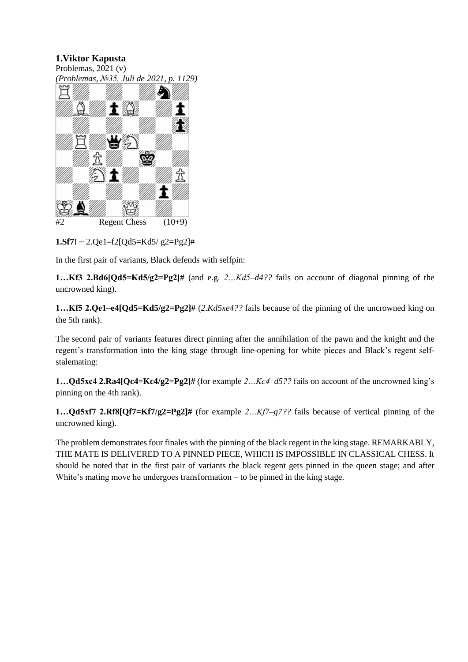Problemas, 2021 (v) *(Problemas, №35, Juli de 2021, p. 1129)*



 $1.$ **Sf7!** ~ 2.Qe1-f2[Qd5=Kd5/ g2=Pg2]#

In the first pair of variants, Black defends with selfpin:

**1…Kf3 2.Bd6[Qd5=Kd5/g2=Pg2]#** (and e.g. *2…Kd5–d4??* fails on account of diagonal pinning of the uncrowned king).

**1…Kf5 2.Qe1–e4[Qd5=Kd5/g2=Pg2]#** (*2.Kd5xe4??* fails because of the pinning of the uncrowned king on the 5th rank).

The second pair of variants features direct pinning after the annihilation of the pawn and the knight and the regent's transformation into the king stage through line-opening for white pieces and Black's regent selfstalemating:

**1…Qd5xс4 2.Ra4[Qc4=Kc4/g2=Pg2]#** (for example *2…Kc4–d5??* fails on account of the uncrowned king's pinning on the 4th rank).

**1…Qd5xf7 2.Rf8[Qf7=Kf7/g2=Pg2]#** (for example *2…Kf7–g7??* fails because of vertical pinning of the uncrowned king).

The problem demonstrates four finales with the pinning of the black regent in the king stage. REMARKABLY, THE MATE IS DELIVERED TO A PINNED PIECE, WHICH IS IMPOSSIBLE IN CLASSICAL CHESS. It should be noted that in the first pair of variants the black regent gets pinned in the queen stage; and after White's mating move he undergoes transformation – to be pinned in the king stage.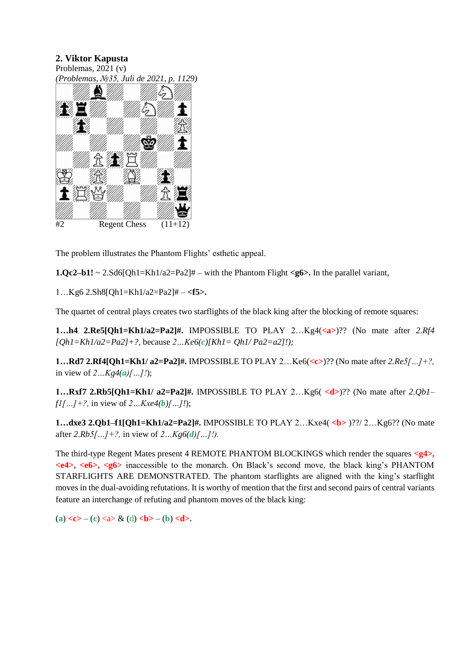

The problem illustrates the Phantom Flights' esthetic appeal.

**1.Qc2–b1!**  $\sim$  2.Sd6[Qh1=Kh1/a2=Pa2]# – with the Phantom Flight  $\lt q$ 6>. In the parallel variant,

1…Kg6 2.Sh8[Qh1=Kh1/a2=Pa2]# – **<f5>.**

The quartet of central plays creates two starflights of the black king after the blocking of remote squares:

**1…h4 2.Re5[Qh1=Kh1/a2=Pa2]#.** IMPOSSIBLE TO PLAY 2…Kg4(**<a>**)?? (No mate after *2.Rf4 [Qh1=Kh1/a2=Pa2]+?,* because *2…Ke6(c)[Kh1= Qh1/ Pa2=a2]!);*

**1…Rd7 2.Rf4[Qh1=Kh1/ a2=Pa2]#.** IMPOSSIBLE TO PLAY 2…Ke6(**<c>**)?? (No mate after *2.Re5[…]+?,* in view of  $2...Kg(4(a)[...]$ .

**1…Rxf7 2.Rb5[Qh1=Kh1/ a2=Pa2]#.** IMPOSSIBLE TO PLAY 2…Kg6( **<d>**)?? (No mate after *2.Qb1– f1[…]+?,* in view of *2…Kxe4(b)[…]!*);

**1...dxe3 2.Qb1–f1[Qh1=Kh1/a2=Pa2]#.** IMPOSSIBLE TO PLAY 2...Kxe4(<b>)??/ 2...Kg6?? (No mate after *2.Rb5[…]+?,* in view of *2…Kg6(d)[…]!).*

The third-type Regent Mates present 4 REMOTE PHANTOM BLOCKINGS which render the squares **<g4>, <e4>, <e6>, <g6>** inaccessible to the monarch. On Black's second move, the black king's PHANTOM STARFLIGHTS ARE DEMONSTRATED. The phantom starflights are aligned with the king's starflight moves in the dual-avoiding refutations. It is worthy of mention that the first and second pairs of central variants feature an interchange of refuting and phantom moves of the black king:

(a)  $\langle c \rangle$  – (c)  $\langle a \rangle \langle d \rangle$  (d)  $\langle b \rangle$  – (b)  $\langle d \rangle$ .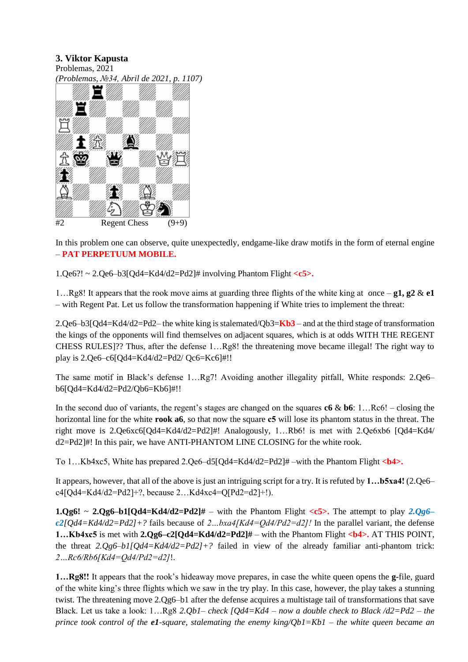

In this problem one can observe, quite unexpectedly, endgame-like draw motifs in the form of eternal engine – **PAT PERPETUUM MOBILE.**

1.Qe6?! ~ 2.Qe6–b3[Qd4=Kd4/d2=Pd2]# involving Phantom Flight **<c5>.**

1…Rg8! It appears that the rook move aims at guarding three flights of the white king at once – **g1, g2** & **e1** – with Regent Pat. Let us follow the transformation happening if White tries to implement the threat:

2.Qe6–b3[Qd4=Kd4/d2=Pd2– the white king is stalemated/Qb3=**Kb3** – and at the third stage of transformation the kings of the opponents will find themselves on adjacent squares, which is at odds WITH THE REGENT CHESS RULES]?? Thus, after the defense 1…Rg8! the threatening move became illegal! The right way to play is 2.Qe6–c6[Qd4=Kd4/d2=Pd2/ Qc6=Kc6]#!!

The same motif in Black's defense 1…Rg7! Avoiding another illegality pitfall, White responds: 2.Qe6– b6[Qd4=Kd4/d2=Pd2/Qb6=Kb6]#!!

In the second duo of variants, the regent's stages are changed on the squares **c6** & **b6**: 1…Rc6! – closing the horizontal line for the white **rook a6**, so that now the square **с5** will lose its phantom status in the threat. The right move is 2.Qe6xc6[Qd4=Kd4/d2=Pd2]#! Analogously, 1…Rb6! is met with 2.Qe6xb6 [Qd4=Kd4/ d2=Pd2]#! In this pair, we have ANTI-PHANTOM LINE CLOSING for the white rook.

To 1…Kb4xc5, White has prepared 2.Qe6–d5[Qd4=Kd4/d2=Pd2]# –with the Phantom Flight **<b4>.**

It appears, however, that all of the above is just an intriguing script for a try. It is refuted by **1…b5xa4!** (2.Qe6– c4[Qd4=Kd4/d2=Pd2]+?, because 2…Kd4xc4=Q[Pd2=d2]+!).

**1.Qg6!** ~ **2.Qg6–b1[Qd4=Kd4/d2=Pd2]#** – with the Phantom Flight  $\langle c5 \rangle$ . The attempt to play 2.Qg6– *c2[Qd4=Kd4/d2=Pd2]+?* fails because of *2…bxa4[Kd4=Qd4/Pd2=d2]!* In the parallel variant, the defense **1…Kb4xc5** is met with **2.Qg6–c2[Qd4=Kd4/d2=Pd2]#** – with the Phantom Flight **<b4>.** AT THIS POINT, the threat *2.Qg6–b1[Qd4=Kd4/d2=Pd2]+?* failed in view of the already familiar anti-phantom trick: *2…Rс6/Rb6[Kd4=Qd4/Pd2=d2]*!.

**1…Rg8!!** It appears that the rook's hideaway move prepares, in case the white queen opens the **g-**file, guard of the white king's three flights which we saw in the try play. In this case, however, the play takes a stunning twist. The threatening move 2.Qg6–b1 after the defense acquires a multistage tail of transformations that save Black. Let us take a look: 1…Rg8 *2.Qb1– check [Qd4=Kd4 – now a double check to Black /d2=Pd2 – the prince took control of the e1-square, stalemating the enemy king/Qb1=Kb1 – the white queen became an*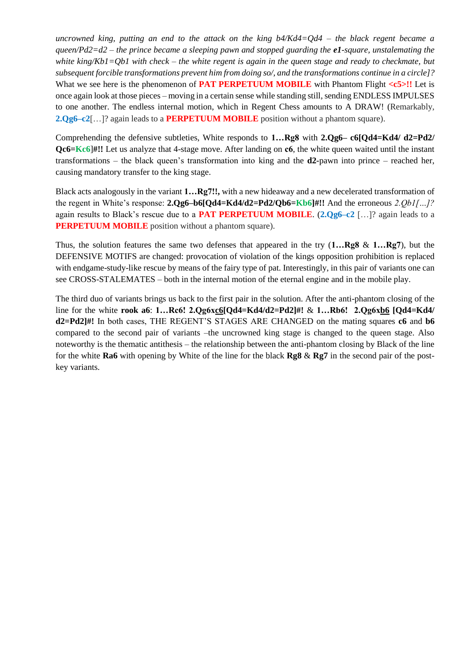*uncrowned king, putting an end to the attack on the king b4/Kd4=Qd4 – the black regent became a queen/Pd2=d2 – the prince became a sleeping pawn and stopped guarding the e1-square, unstalemating the white king/Kb1=Qb1 with check – the white regent is again in the queen stage and ready to checkmate, but subsequent forcible transformations prevent him from doing so/, and the transformations continue in a circle]?* What we see here is the phenomenon of **PAT PERPETUUM MOBILE** with Phantom Flight <c5>!! Let is once again look at those pieces – moving in a certain sense while standing still, sending ENDLESS IMPULSES to one another. The endless internal motion, which in Regent Chess amounts to A DRAW! (Remarkably, **2.Qg6–c2**[…]? again leads to a **PERPETUUM MOBILE** position without a phantom square).

Comprehending the defensive subtleties, White responds to **1…Rg8** with **2.Qg6– c6[Qd4=Kd4/ d2=Pd2/ Qc6=Kc6**]**#!!** Let us analyze that 4-stage move. After landing on **с6**, the white queen waited until the instant transformations – the black queen's transformation into king and the **d2-**pawn into prince – reached her, causing mandatory transfer to the king stage.

Black acts analogously in the variant **1…Rg7!!,** with a new hideaway and a new decelerated transformation of the regent in White's response: **2.Qg6–b6[Qd4=Kd4/d2=Pd2/Qb6=Kb6]#!!** And the erroneous *2.Qb1[…]?* again results to Black's rescue due to a **PAT PERPETUUM MOBILE**. (**2.Qg6–c2** […]? again leads to a **PERPETUUM MOBILE** position without a phantom square).

Thus, the solution features the same two defenses that appeared in the try (**1…Rg8** & **1…Rg7**), but the DEFENSIVE MOTIFS are changed: provocation of violation of the kings opposition prohibition is replaced with endgame-study-like rescue by means of the fairy type of pat. Interestingly, in this pair of variants one can see CROSS-STALEMATES – both in the internal motion of the eternal engine and in the mobile play.

The third duo of variants brings us back to the first pair in the solution. After the anti-phantom closing of the line for the white **rook a6**: **1…Rc6! 2.Qg6xc6[Qd4=Kd4/d2=Pd2]#!** & **1…Rb6! 2.Qg6xb6 [Qd4=Kd4/ d2=Pd2]#!** In both cases, THE REGENT'S STAGES ARE CHANGED on the mating squares **c6** and **b6** compared to the second pair of variants –the uncrowned king stage is changed to the queen stage. Also noteworthy is the thematic antithesis – the relationship between the anti-phantom closing by Black of the line for the white **Ra6** with opening by White of the line for the black **Rg8** & **Rg7** in the second pair of the postkey variants.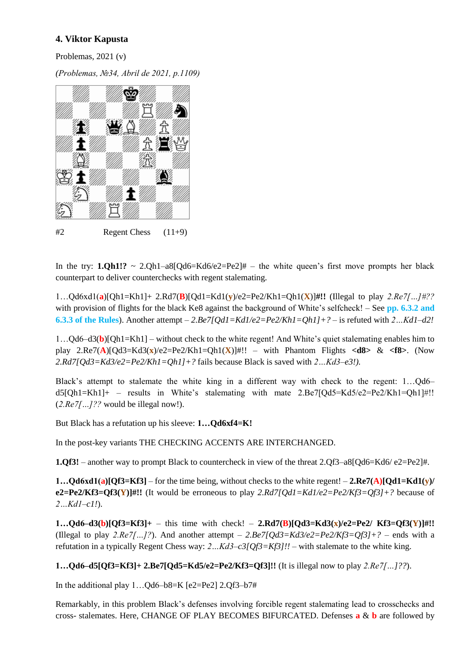Problemas, 2021 (v)

*(Problemas, №34, Abril de 2021, p.1109)*



In the try:  $1.Qh1$ !? ~  $2.Qh1-a8[Qd6=Kd6/e2=Pe2]$ # – the white queen's first move prompts her black counterpart to deliver counterchecks with regent stalemating.

1…Qd6xd1(**a**)[Qh1=Kh1]+ 2.Rd7(**B**)[Qd1=Kd1(**y**)/e2=Pe2/Kh1=Qh1(**X**)]**#!!** (Illegal to play *2.Re7[…]#??* with provision of flights for the black Ke8 against the background of White's selfcheck! – See **pp. 6.3.2 and 6.3.3 of the Rules**). Another attempt – *2.Be7[Qd1=Kd1/e2=Pe2/Kh1=Qh1]+?* – is refuted with *2…Kd1–d2!*

1…Qd6–d3(**b**)[Qh1=Kh1] – without check to the white regent! And White's quiet stalemating enables him to play 2.Re7(**A**)[Qd3=Kd3(**x**)/e2=Pe2/Kh1=Qh1(**X**)]#!! – with Phantom Flights **<d8>** & **<f8>**. (Now *2.Rd7[Qd3=Kd3/e2=Pe2/Kh1=Qh1]+?* fails because Black is saved with *2…Kd3–e3!).*

Black's attempt to stalemate the white king in a different way with check to the regent: 1…Qd6– d5[Qh1=Kh1]+ – results in White's stalemating with mate 2.Be7[Qd5=Kd5/e2=Pe2/Kh1=Qh1]#!! (*2.Re7[…]??* would be illegal now!).

But Black has a refutation up his sleeve: **1…Qd6xf4=K!**

In the post-key variants THE CHECKING ACCENTS ARE INTERCHANGED.

**1.Qf3!** – another way to prompt Black to countercheck in view of the threat 2.Qf3–a8[Qd6=Kd6/ e2=Pe2]#.

**1…Qd6xd1(a)[Qf3=Kf3]** – for the time being, without checks to the white regent! – **2.Re7(A)[Qd1=Kd1(y)/ e2=Pe2/Kf3=Qf3(Y)]#!!** (It would be erroneous to play *2.Rd7[Qd1=Kd1/e2=Pe2/Kf3=Qf3]+?* because of *2…Kd1–c1!*).

**1…Qd6–d3(b)[Qf3=Kf3]+** – this time with check! – **2.Rd7(B)[Qd3=Kd3(x)/e2=Pe2/ Kf3=Qf3(Y)]#!!** (Illegal to play 2. $Re7$ […]?). And another attempt  $-$  2. $Be7$ [Qd3=Kd3/e2=Pe2/Kf3=Qf3]+? – ends with a refutation in a typically Regent Chess way: *2…Kd3–c3[Qf3=Kf3]!!* – with stalemate to the white king.

**1…Qd6–d5[Qf3=Kf3]+ 2.Be7[Qd5=Kd5/e2=Pe2/Kf3=Qf3]!!** (It is illegal now to play *2.Re7[…]??*).

In the additional play  $1...$ Qd6–b8=K [e2=Pe2] 2.Qf3–b7#

Remarkably, in this problem Black's defenses involving forcible regent stalemating lead to crosschecks and cross- stalemates. Here, CHANGE OF PLAY BECOMES BIFURCATED. Defenses **a** & **b** are followed by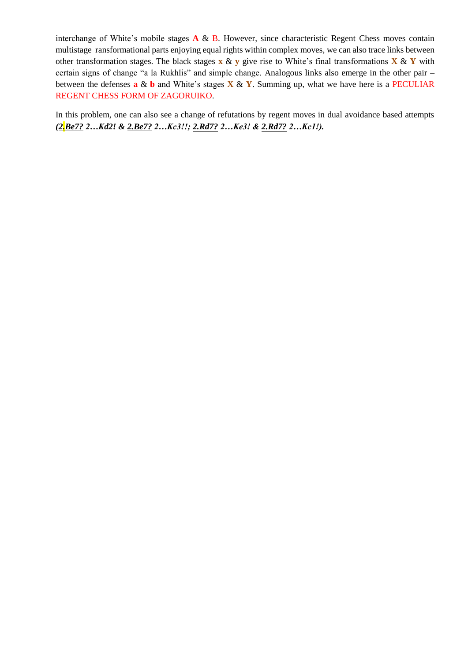interchange of White's mobile stages **A** & B. However, since characteristic Regent Chess moves contain multistage ransformational parts enjoying equal rights within complex moves, we can also trace links between other transformation stages. The black stages **x** & **y** give rise to White's final transformations **X** & **Y** with certain signs of change "a la Rukhlis" and simple change. Analogous links also emerge in the other pair – between the defenses **a** & **b** and White's stages **X** & **Y**. Summing up, what we have here is a PECULIAR REGENT CHESS FORM OF ZAGORUIKO.

In this problem, one can also see a change of refutations by regent moves in dual avoidance based attempts *(2.Be7? 2…Kd2! & 2.Be7? 2…Kc3!!; 2.Rd7? 2…Ke3! & 2.Rd7? 2…Kc1!).*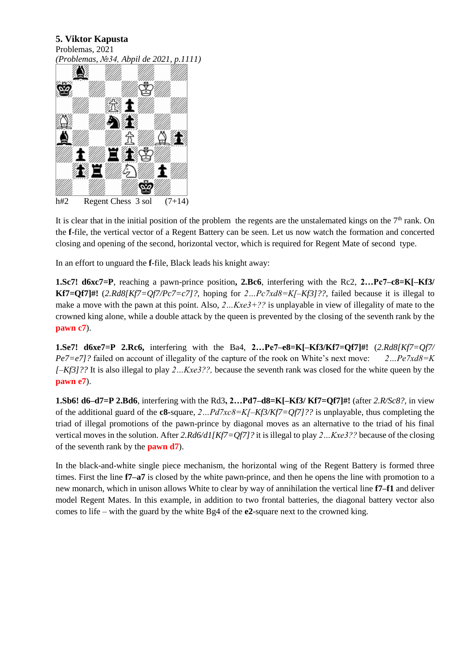Problemas, 2021





It is clear that in the initial position of the problem the regents are the unstalemated kings on the  $7<sup>th</sup>$  rank. On the **f**-file, the vertical vector of a Regent Battery can be seen. Let us now watch the formation and concerted closing and opening of the second, horizontal vector, which is required for Regent Mate of second type.

In an effort to unguard the **f**-file, Black leads his knight away:

**1.Sc7! d6xc7=P**, reaching a pawn-prince position**, 2.Bc6**, interfering with the Rc2, **2…Pc7–c8=K[–Kf3/ Kf7=Qf7]#!** (*2.Rd8[Kf7=Qf7/Pc7=c7]?,* hoping for *2…Pc7xd8=K[–Kf3]??*, failed because it is illegal to make a move with the pawn at this point. Also, *2…Kxe3+??* is unplayable in view of illegality of mate to the crowned king alone, while a double attack by the queen is prevented by the closing of the seventh rank by the **pawn c7**).

**1.Se7! d6xe7=P 2.Rc6,** interfering with the Ba4, **2…Pe7–e8=K[–Kf3/Kf7=Qf7]#!** (*2.Rd8[Kf7=Qf7/ Pe7=e7]?* failed on account of illegality of the capture of the rook on White's next move: *2…Pe7xd8=K [–Kf3]??* It is also illegal to play *2…Kxe3??,* because the seventh rank was closed for the white queen by the **pawn e7**).

**1.Sb6! d6–d7=P 2.Bd6**, interfering with the Rd3**, 2…Pd7–d8=K[–Kf3/ Kf7=Qf7]#!** (after *2.R/Sc8?,* in view of the additional guard of the **c8-**square, *2…Pd7xс8=K[–Kf3/Kf7=Qf7]??* is unplayable, thus completing the triad of illegal promotions of the pawn-prince by diagonal moves as an alternative to the triad of his final vertical moves in the solution. After *2.Rd6/d1[Kf7=Qf7]?* it is illegal to play *2…Kxe3??* because of the closing of the seventh rank by the **pawn d7**).

In the black-and-white single piece mechanism, the horizontal wing of the Regent Battery is formed three times. First the line **f7–a7** is closed by the white pawn-prince, and then he opens the line with promotion to a new monarch, which in unison allows White to clear by way of annihilation the vertical line **f7–f1** and deliver model Regent Mates. In this example, in addition to two frontal batteries, the diagonal battery vector also comes to life – with the guard by the white Bg4 of the **e2**-square next to the crowned king.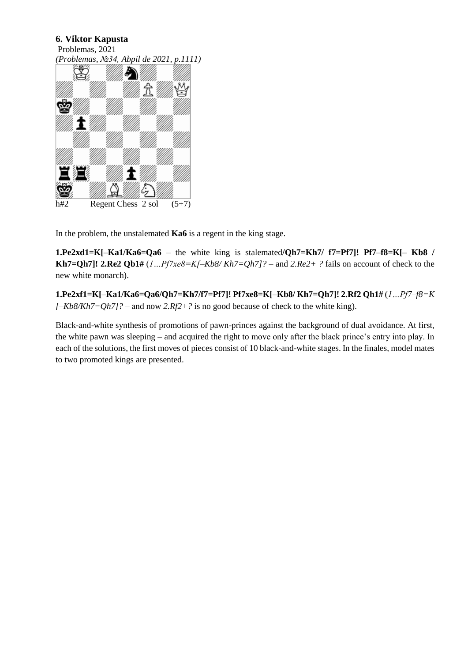Problemas, 2021



In the problem, the unstalemated **Ka6** is a regent in the king stage.

**1.Pe2xd1=K[–Ka1/Ka6=Qa6** – the white king is stalemated**/Qh7=Kh7/ f7=Pf7]! Pf7–f8=K[– Kb8 / Kh7=Qh7]! 2.Re2 Qb1#**  $(I...Pf7xe8=K[-Kb8/Kh7=Qh7]$ ? – and  $2.Re2+$  ? fails on account of check to the new white monarch).

**1.Pe2xf1=K[–Ka1/Ka6=Qa6/Qh7=Kh7/f7=Pf7]! Pf7xe8=K[–Kb8/ Kh7=Qh7]! 2.Rf2 Qh1#** (*1…Pf7–f8=K [–Kb8/Kh7=Qh7]?* – and now *2.Rf2+?* is no good because of check to the white king).

Black-and-white synthesis of promotions of pawn-princes against the background of dual avoidance. At first, the white pawn was sleeping – and acquired the right to move only after the black prince's entry into play. In each of the solutions, the first moves of pieces consist of 10 black-and-white stages. In the finales, model mates to two promoted kings are presented.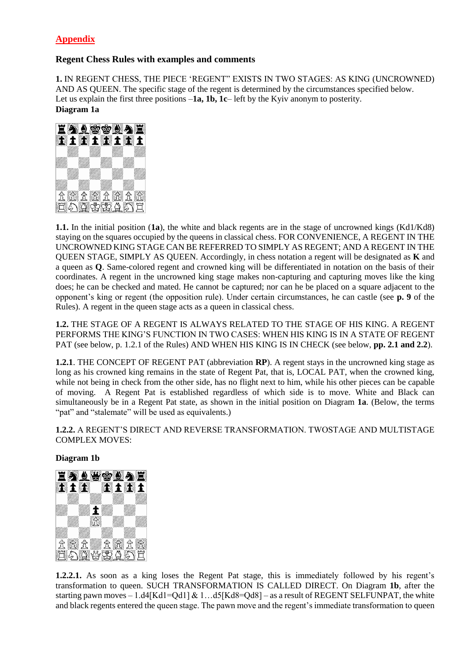# **Appendix**

## **Regent Chess Rules with examples and comments**

**1.** IN REGENT CHESS, THE PIECE 'REGENT" EXISTS IN TWO STAGES: AS KING (UNCROWNED) AND AS QUEEN. The specific stage of the regent is determined by the circumstances specified below. Let us explain the first three positions –**1a, 1b, 1c**– left by the Kyiv anonym to posterity. **Diagram 1a**



**1.1.** In the initial position (**1a**), the white and black regents are in the stage of uncrowned kings (Kd1/Kd8) staying on the squares occupied by the queens in classical chess. FOR CONVENIENCE, A REGENT IN THE UNCROWNED KING STAGE CAN BE REFERRED TO SIMPLY AS REGENT; AND A REGENT IN THE QUEEN STAGE, SIMPLY AS QUEEN. Accordingly, in chess notation a regent will be designated as **K** and a queen as **Q**. Same-colored regent and crowned king will be differentiated in notation on the basis of their coordinates. A regent in the uncrowned king stage makes non-capturing and capturing moves like the king does; he can be checked and mated. He cannot be captured; nor can he be placed on a square adjacent to the opponent's king or regent (the opposition rule). Under certain circumstances, he can castle (see **p. 9** of the Rules). A regent in the queen stage acts as a queen in classical chess.

**1.2.** THE STAGE OF A REGENT IS ALWAYS RELATED TO THE STAGE OF HIS KING. A REGENT PERFORMS THE KING'S FUNCTION IN TWO CASES: WHEN HIS KING IS IN A STATE OF REGENT PAT (see below, p. 1.2.1 of the Rules) AND WHEN HIS KING IS IN CHECK (see below, **pp. 2.1 and 2.2**).

**1.2.1**. THE CONCEPT OF REGENT PAT (abbreviation **RP**). A regent stays in the uncrowned king stage as long as his crowned king remains in the state of Regent Pat, that is, LOCAL PAT, when the crowned king, while not being in check from the other side, has no flight next to him, while his other pieces can be capable of moving. A Regent Pat is established regardless of which side is to move. White and Black can simultaneously be in a Regent Pat state, as shown in the initial position on Diagram **1a**. (Below, the terms "pat" and "stalemate" will be used as equivalents.)

**1.2.2.** A REGENT'S DIRECT AND REVERSE TRANSFORMATION. TWOSTAGE AND MULTISTAGE COMPLEX MOVES:

**Diagram 1b**



**1.2.2.1.** As soon as a king loses the Regent Pat stage, this is immediately followed by his regent's transformation to queen. SUCH TRANSFORMATION IS CALLED DIRECT. On Diagram **1b**, after the starting pawn moves  $-1.14$ [Kd1=Qd1] & 1... $d5$ [Kd8=Qd8] – as a result of REGENT SELFUNPAT, the white and black regents entered the queen stage. The pawn move and the regent's immediate transformation to queen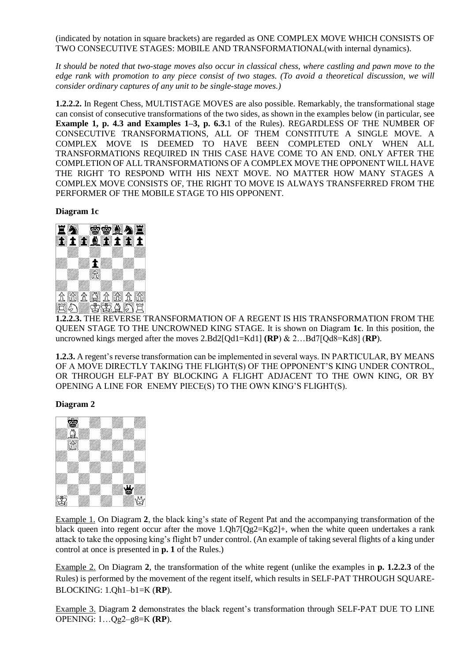(indicated by notation in square brackets) are regarded as ONE COMPLEX MOVE WHICH CONSISTS OF TWO CONSECUTIVE STAGES: MOBILE AND TRANSFORMATIONAL(with internal dynamics).

*It should be noted that two-stage moves also occur in classical chess, where castling and pawn move to the edge rank with promotion to any piece consist of two stages. (To avoid a theoretical discussion, we will consider ordinary captures of any unit to be single-stage moves.)*

**1.2.2.2.** In Regent Chess, MULTISTAGE MOVES are also possible. Remarkably, the transformational stage can consist of consecutive transformations of the two sides, as shown in the examples below (in particular, see **Example 1, p. 4.3 and Examples 1–3, p. 6.3.**1 of the Rules). REGARDLESS OF THE NUMBER OF CONSECUTIVE TRANSFORMATIONS, ALL OF THEM CONSTITUTE A SINGLE MOVE. A COMPLEX MOVE IS DEEMED TO HAVE BEEN COMPLETED ONLY WHEN ALL TRANSFORMATIONS REQUIRED IN THIS CASE HAVE COME TO AN END. ONLY AFTER THE COMPLETION OF ALL TRANSFORMATIONS OF A COMPLEX MOVE THE OPPONENT WILL HAVE THE RIGHT TO RESPOND WITH HIS NEXT MOVE. NO MATTER HOW MANY STAGES A COMPLEX MOVE CONSISTS OF, THE RIGHT TO MOVE IS ALWAYS TRANSFERRED FROM THE PERFORMER OF THE MOBILE STAGE TO HIS OPPONENT.

#### **Diagram 1c**



**1.2.2.3.** THE REVERSE TRANSFORMATION OF A REGENT IS HIS TRANSFORMATION FROM THE QUEEN STAGE TO THE UNCROWNED KING STAGE. It is shown on Diagram **1c**. In this position, the uncrowned kings merged after the moves 2.Bd2[Qd1=Kd1] **(RP**) & 2…Bd7[Qd8=Kd8] (**RP**).

**1.2.3.** A regent's reverse transformation can be implemented in several ways. IN PARTICULAR, BY MEANS OF A MOVE DIRECTLY TAKING THE FLIGHT(S) OF THE OPPONENT'S KING UNDER CONTROL, OR THROUGH ELF-PAT BY BLOCKING A FLIGHT ADJACENT TO THE OWN KING, OR BY OPENING A LINE FOR ENEMY PIECE(S) TO THE OWN KING'S FLIGHT(S).

#### **Diagram 2**



Example 1. On Diagram **2**, the black king's state of Regent Pat and the accompanying transformation of the black queen into regent occur after the move 1.Qh7[Qg2=Kg2]+, when the white queen undertakes a rank attack to take the opposing king's flight b7 under control. (An example of taking several flights of a king under control at once is presented in **p. 1** of the Rules.)

Example 2. On Diagram **2**, the transformation of the white regent (unlike the examples in **p. 1.2.2.3** of the Rules) is performed by the movement of the regent itself, which results in SELF-PAT THROUGH SQUARE-BLOCKING: 1.Qh1–b1=K (**RP**).

Example 3. Diagram **2** demonstrates the black regent's transformation through SELF-PAT DUE TO LINE OPENING: 1…Qg2–g8=K **(RP**).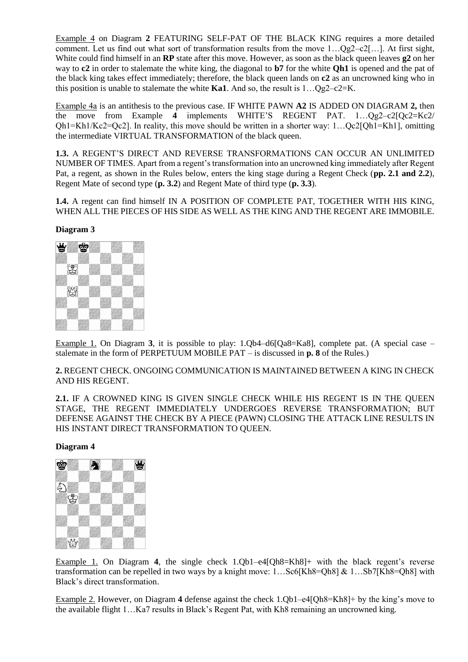Example 4 on Diagram **2** FEATURING SELF-PAT OF THE BLACK KING requires a more detailed comment. Let us find out what sort of transformation results from the move  $1...Og2-c2$ […]. At first sight, White could find himself in an **RP** state after this move. However, as soon as the black queen leaves **g2** on her way to **c2** in order to stalemate the white king, the diagonal to **b7** for the white **Qh1** is opened and the pat of the black king takes effect immediately; therefore, the black queen lands on **c2** as an uncrowned king who in this position is unable to stalemate the white **Ka1**. And so, the result is  $1 \dots Qg2 - c2 = K$ .

Example 4а is an antithesis to the previous case. IF WHITE PAWN **A2** IS ADDED ON DIAGRAM **2,** then the move from Example **4** implements WHITE'S REGENT PAT. 1…Qg2–c2[Qc2=Kc2/ Qh1=Kh1/Kc2=Qc2]. In reality, this move should be written in a shorter way: 1…Qc2[Qh1=Kh1], omitting the intermediate VIRTUAL TRANSFORMATION of the black queen.

**1.3.** A REGENT'S DIRECT AND REVERSE TRANSFORMATIONS CAN OCCUR AN UNLIMITED NUMBER OF TIMES. Apart from a regent's transformation into an uncrowned king immediately after Regent Pat, a regent, as shown in the Rules below, enters the king stage during a Regent Check (**pp. 2.1 and 2.2**), Regent Mate of second type (**p. 3.2**) and Regent Mate of third type (**p. 3.3**).

**1.4.** A regent can find himself IN A POSITION OF COMPLETE PAT, TOGETHER WITH HIS KING, WHEN ALL THE PIECES OF HIS SIDE AS WELL AS THE KING AND THE REGENT ARE IMMOBILE.

### **Diagram 3**



Example 1. On Diagram **3**, it is possible to play: 1.Qb4–d6[Qa8=Ka8], complete pat. (A special case – stalemate in the form of PERPETUUM MOBILE PAT – is discussed in **p. 8** of the Rules.)

**2.** REGENT CHECK. ONGOING COMMUNICATION IS MAINTAINED BETWEEN A KING IN CHECK AND HIS REGENT.

**2.1.** IF A CROWNED KING IS GIVEN SINGLE CHECK WHILE HIS REGENT IS IN THE QUEEN STAGE, THE REGENT IMMEDIATELY UNDERGOES REVERSE TRANSFORMATION; BUT DEFENSE AGAINST THE CHECK BY A PIECE (PAWN) CLOSING THE ATTACK LINE RESULTS IN HIS INSTANT DIRECT TRANSFORMATION TO QUEEN.

#### **Diagram 4**



Example 1. On Diagram **4**, the single check 1.Qb1–e4[Qh8=Kh8]+ with the black regent's reverse transformation can be repelled in two ways by a knight move: 1…Sc6[Kh8=Qh8] & 1…Sb7[Kh8=Qh8] with Black's direct transformation.

Example 2. However, on Diagram **4** defense against the check 1.Qb1–e4[Qh8=Kh8]+ by the king's move to the available flight 1…Ka7 results in Black's Regent Pat, with Kh8 remaining an uncrowned king.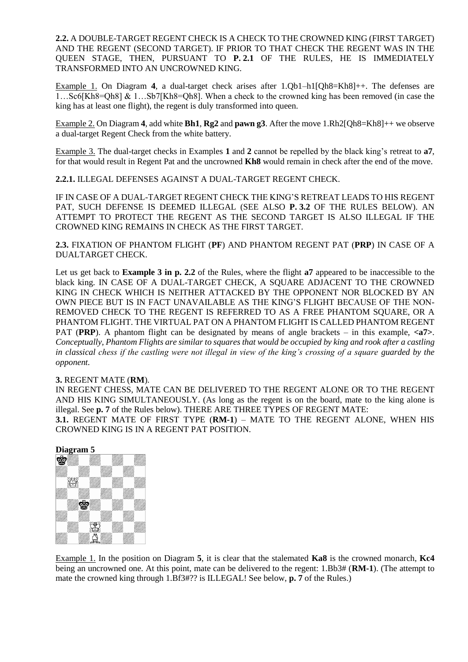**2.2.** A DOUBLE-TARGET REGENT CHECK IS A CHECK TO THE CROWNED KING (FIRST TARGET) AND THE REGENT (SECOND TARGET). IF PRIOR TO THAT CHECK THE REGENT WAS IN THE QUEEN STAGE, THEN, PURSUANT TO **P. 2.1** OF THE RULES, HE IS IMMEDIATELY TRANSFORMED INTO AN UNCROWNED KING.

Example 1. On Diagram **4**, a dual-target check arises after 1.Qb1–h1[Qh8=Kh8]++. The defenses are 1…Sc6[Kh8=Qh8] & 1…Sb7[Kh8=Qh8]. When a check to the crowned king has been removed (in case the king has at least one flight), the regent is duly transformed into queen.

Example 2. On Diagram **4**, add white **Bh1**, **Rg2** and **pawn g3**. After the move 1.Rh2[Qh8=Kh8]++ we observe a dual-target Regent Check from the white battery.

Example 3. The dual-target checks in Examples **1** and **2** cannot be repelled by the black king's retreat to **a7**, for that would result in Regent Pat and the uncrowned **Kh8** would remain in check after the end of the move.

**2.2.1.** ILLEGAL DEFENSES AGAINST A DUAL-TARGET REGENT CHECK.

IF IN CASE OF A DUAL-TARGET REGENT CHECK THE KING'S RETREAT LEADS TO HIS REGENT PAT, SUCH DEFENSE IS DEEMED ILLEGAL (SEE ALSO **P. 3.2** OF THE RULES BELOW). AN ATTEMPT TO PROTECT THE REGENT AS THE SECOND TARGET IS ALSO ILLEGAL IF THE CROWNED KING REMAINS IN CHECK AS THE FIRST TARGET.

**2.3.** FIXATION OF PHANTOM FLIGHT (**PF**) AND PHANTOM REGENT PAT (**PRP**) IN CASE OF A DUALTARGET CHECK.

Let us get back to **Example 3 in p. 2.2** of the Rules, where the flight **a7** appeared to be inaccessible to the black king. IN CASE OF A DUAL-TARGET CHECK, A SOUARE ADJACENT TO THE CROWNED KING IN CHECK WHICH IS NEITHER ATTACKED BY THE OPPONENT NOR BLOCKED BY AN OWN PIECE BUT IS IN FACT UNAVAILABLE AS THE KING'S FLIGHT BECAUSE OF THE NON-REMOVED CHECK TO THE REGENT IS REFERRED TO AS A FREE PHANTOM SQUARE, OR A PHANTOM FLIGHT. THE VIRTUAL PAT ON A PHANTOM FLIGHT IS CALLED PHANTOM REGENT PAT (**PRP**). A phantom flight can be designated by means of angle brackets – in this example, **<a7>**. *Conceptually, Phantom Flights are similar to squares that would be occupied by king and rook after a castling in classical chess if the castling were not illegal in view of the king's crossing of a square guarded by the opponent.*

#### **3.** REGENT MATE (**RM**).

IN REGENT CHESS, MATE CAN BE DELIVERED TO THE REGENT ALONE OR TO THE REGENT AND HIS KING SIMULTANEOUSLY. (As long as the regent is on the board, mate to the king alone is illegal. See **p. 7** of the Rules below). THERE ARE THREE TYPES OF REGENT MATE:

**3.1.** REGENT MATE OF FIRST TYPE (**RM-1**) – MATE TO THE REGENT ALONE, WHEN HIS CROWNED KING IS IN A REGENT PAT POSITION.



Example 1. In the position on Diagram **5**, it is clear that the stalemated **Ka8** is the crowned monarch, **Kc4** being an uncrowned one. At this point, mate can be delivered to the regent: 1.Bb3# (**RM-1**). (The attempt to mate the crowned king through 1.Bf3#?? is ILLEGAL! See below, **p. 7** of the Rules.)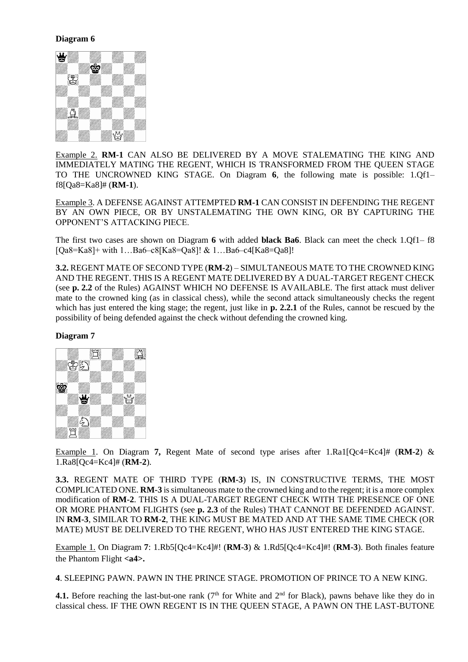### **Diagram 6**



Example 2. **RM-1** CAN ALSO BE DELIVERED BY A MOVE STALEMATING THE KING AND IMMEDIATELY MATING THE REGENT, WHICH IS TRANSFORMED FROM THE QUEEN STAGE TO THE UNCROWNED KING STAGE. On Diagram **6**, the following mate is possible: 1.Qf1– f8[Qa8=Ka8]# (**RM-1**).

Example 3. A DEFENSE AGAINST ATTEMPTED **RM-1** CAN CONSIST IN DEFENDING THE REGENT BY AN OWN PIECE, OR BY UNSTALEMATING THE OWN KING, OR BY CAPTURING THE OPPONENT'S ATTACKING PIECE.

The first two cases are shown on Diagram **6** with added **black Ba6**. Black can meet the check 1.Qf1– f8 [Qa8=Ka8]+ with 1…Ba6–c8[Ka8=Qa8]! & 1…Ba6–c4[Ka8=Qa8]!

**3.2.** REGENT MATE OF SECOND TYPE (**RM-2**) – SIMULTANEOUS MATE TO THE CROWNED KING AND THE REGENT. THIS IS A REGENT MATE DELIVERED BY A DUAL-TARGET REGENT CHECK (see **p. 2.2** of the Rules) AGAINST WHICH NO DEFENSE IS AVAILABLE. The first attack must deliver mate to the crowned king (as in classical chess), while the second attack simultaneously checks the regent which has just entered the king stage; the regent, just like in **p. 2.2.1** of the Rules, cannot be rescued by the possibility of being defended against the check without defending the crowned king.

### **Diagram 7**



Example 1. On Diagram **7,** Regent Mate of second type arises after 1.Ra1[Qc4=Kc4]# (**RM-2**) & 1.Ra8[Qc4=Kc4]# (**RM-2**).

**3.3.** REGENT MATE OF THIRD TYPE (**RM-3**) IS, IN CONSTRUCTIVE TERMS, THE MOST COMPLICATED ONE. **RM-3** is simultaneous mate to the crowned king and to the regent; it is a more complex modification of **RM-2**. THIS IS A DUAL-TARGET REGENT CHECK WITH THE PRESENCE OF ONE OR MORE PHANTOM FLIGHTS (see **p. 2.3** of the Rules) THAT CANNOT BE DEFENDED AGAINST. IN **RM-3**, SIMILAR TO **RM-2**, THE KING MUST BE MATED AND AT THE SAME TIME CHECK (OR MATE) MUST BE DELIVERED TO THE REGENT, WHO HAS JUST ENTERED THE KING STAGE.

Example 1. On Diagram **7**: 1.Rb5[Qc4=Kc4]#! (**RM-3**) & 1.Rd5[Qc4=Kc4]#! (**RM-3**). Both finales feature the Phantom Flight **<a4>.**

**4**. SLEEPING PAWN. PAWN IN THE PRINCE STAGE. PROMOTION OF PRINCE TO A NEW KING.

**4.1.** Before reaching the last-but-one rank  $(7<sup>th</sup>$  for White and  $2<sup>nd</sup>$  for Black), pawns behave like they do in classical chess. IF THE OWN REGENT IS IN THE QUEEN STAGE, A PAWN ON THE LAST-BUTONE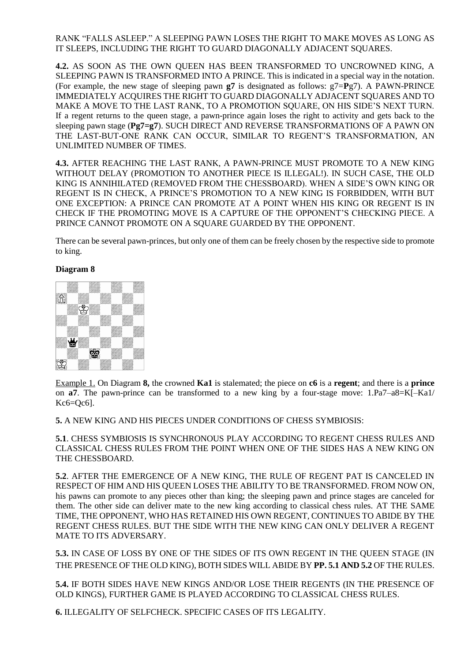RANK "FALLS ASLEEP." A SLEEPING PAWN LOSES THE RIGHT TO MAKE MOVES AS LONG AS IT SLEEPS, INCLUDING THE RIGHT TO GUARD DIAGONALLY ADJACENT SOUARES.

**4.2.** AS SOON AS THE OWN QUEEN HAS BEEN TRANSFORMED TO UNCROWNED KING, A SLEEPING PAWN IS TRANSFORMED INTO A PRINCE. This is indicated in a special way in the notation. (For example, the new stage of sleeping pawn  $g7$  is designated as follows:  $g7 = Pg7$ ). A PAWN-PRINCE IMMEDIATELY ACQUIRES THE RIGHT TO GUARD DIAGONALLY ADJACENT SQUARES AND TO MAKE A MOVE TO THE LAST RANK, TO A PROMOTION SQUARE, ON HIS SIDE'S NEXT TURN. If a regent returns to the queen stage, a pawn-prince again loses the right to activity and gets back to the sleeping pawn stage (**Pg7=g7**). SUCH DIRECT AND REVERSE TRANSFORMATIONS OF A PAWN ON THE LAST-BUT-ONE RANK CAN OCCUR, SIMILAR TO REGENT'S TRANSFORMATION, AN UNLIMITED NUMBER OF TIMES.

**4.3.** AFTER REACHING THE LAST RANK, A PAWN-PRINCE MUST PROMOTE TO A NEW KING WITHOUT DELAY (PROMOTION TO ANOTHER PIECE IS ILLEGAL!). IN SUCH CASE, THE OLD KING IS ANNIHILATED (REMOVED FROM THE CHESSBOARD). WHEN A SIDE'S OWN KING OR REGENT IS IN CHECK, A PRINCE'S PROMOTION TO A NEW KING IS FORBIDDEN, WITH BUT ONE EXCEPTION: A PRINCE CAN PROMOTE AT A POINT WHEN HIS KING OR REGENT IS IN CHECK IF THE PROMOTING MOVE IS A CAPTURE OF THE OPPONENT'S CHECKING PIECE. A PRINCE CANNOT PROMOTE ON A SQUARE GUARDED BY THE OPPONENT.

There can be several pawn-princes, but only one of them can be freely chosen by the respective side to promote to king.

#### **Diagram 8**



Example 1. On Diagram **8,** the crowned **Ka1** is stalemated; the piece on **c6** is a **regent**; and there is a **prince** on **a7**. The pawn-prince can be transformed to a new king by a four-stage move: 1.Pa7–a8=K[–Ka1/ Kc6=Qc6].

**5.** A NEW KING AND HIS PIECES UNDER CONDITIONS OF CHESS SYMBIOSIS:

**5.1**. CHESS SYMBIOSIS IS SYNCHRONOUS PLAY ACCORDING TO REGENT CHESS RULES AND CLASSICAL CHESS RULES FROM THE POINT WHEN ONE OF THE SIDES HAS A NEW KING ON THE CHESSBOARD.

**5.2**. AFTER THE EMERGENCE OF A NEW KING, THE RULE OF REGENT PAT IS CANCELED IN RESPECT OF HIM AND HIS QUEEN LOSES THE ABILITY TO BE TRANSFORMED. FROM NOW ON, his pawns can promote to any pieces other than king; the sleeping pawn and prince stages are canceled for them. The other side can deliver mate to the new king according to classical chess rules. AT THE SAME TIME, THE OPPONENT, WHO HAS RETAINED HIS OWN REGENT, CONTINUES TO ABIDE BY THE REGENT CHESS RULES. BUT THE SIDE WITH THE NEW KING CAN ONLY DELIVER A REGENT MATE TO ITS ADVERSARY.

**5.3.** IN CASE OF LOSS BY ONE OF THE SIDES OF ITS OWN REGENT IN THE QUEEN STAGE (IN THE PRESENCE OF THE OLD KING), BOTH SIDES WILL ABIDE BY **PP. 5.1 AND 5.2** OF THE RULES.

**5.4.** IF BOTH SIDES HAVE NEW KINGS AND/OR LOSE THEIR REGENTS (IN THE PRESENCE OF OLD KINGS), FURTHER GAME IS PLAYED ACCORDING TO CLASSICAL CHESS RULES.

**6.** ILLEGALITY OF SELFCHECK. SPECIFIC CASES OF ITS LEGALITY.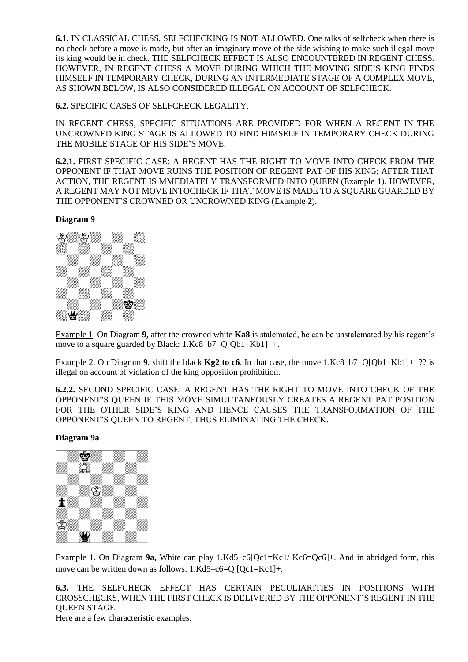**6.1.** IN CLASSICAL CHESS, SELFCHECKING IS NOT ALLOWED. One talks of selfcheck when there is no check before a move is made, but after an imaginary move of the side wishing to make such illegal move its king would be in check. THE SELFCHECK EFFECT IS ALSO ENCOUNTERED IN REGENT CHESS. HOWEVER, IN REGENT CHESS A MOVE DURING WHICH THE MOVING SIDE'S KING FINDS HIMSELF IN TEMPORARY CHECK, DURING AN INTERMEDIATE STAGE OF A COMPLEX MOVE, AS SHOWN BELOW, IS ALSO CONSIDERED ILLEGAL ON ACCOUNT OF SELFCHECK.

## **6.2.** SPECIFIC CASES OF SELFCHECK LEGALITY.

IN REGENT CHESS, SPECIFIC SITUATIONS ARE PROVIDED FOR WHEN A REGENT IN THE UNCROWNED KING STAGE IS ALLOWED TO FIND HIMSELF IN TEMPORARY CHECK DURING THE MOBILE STAGE OF HIS SIDE'S MOVE.

**6.2.1.** FIRST SPECIFIC CASE: A REGENT HAS THE RIGHT TO MOVE INTO CHECK FROM THE OPPONENT IF THAT MOVE RUINS THE POSITION OF REGENT PAT OF HIS KING; AFTER THAT ACTION, THE REGENT IS MMEDIATELY TRANSFORMED INTO QUEEN (Example **1**). HOWEVER, A REGENT MAY NOT MOVE INTOCHECK IF THAT MOVE IS MADE TO A SQUARE GUARDED BY THE OPPONENT'S CROWNED OR UNCROWNED KING (Example **2**).

#### **Diagram 9**



Example 1. On Diagram **9,** after the crowned white **Ka8** is stalemated, he can be unstalemated by his regent's move to a square guarded by Black: 1.Kc8–b7=Q[Qb1=Kb1]++.

Example 2. On Diagram **9**, shift the black  $Kg2$  to c6. In that case, the move 1.Kc8–b7=Q[Qb1=Kb1]++?? is illegal on account of violation of the king opposition prohibition.

**6.2.2.** SECOND SPECIFIC CASE: A REGENT HAS THE RIGHT TO MOVE INTO CHECK OF THE OPPONENT'S QUEEN IF THIS MOVE SIMULTANEOUSLY CREATES A REGENT PAT POSITION FOR THE OTHER SIDE'S KING AND HENCE CAUSES THE TRANSFORMATION OF THE OPPONENT'S QUEEN TO REGENT, THUS ELIMINATING THE CHECK.

#### **Diagram 9a**



Example 1. On Diagram **9a,** White can play 1.Kd5–c6[Qc1=Kc1/ Kc6=Qc6]+. And in abridged form, this move can be written down as follows: 1.Kd5–c6=Q [Qc1=Kc1]+.

**6.3.** THE SELFCHECK EFFECT HAS CERTAIN PECULIARITIES IN POSITIONS WITH CROSSCHECKS, WHEN THE FIRST CHECK IS DELIVERED BY THE OPPONENT'S REGENT IN THE QUEEN STAGE.

Here are a few characteristic examples.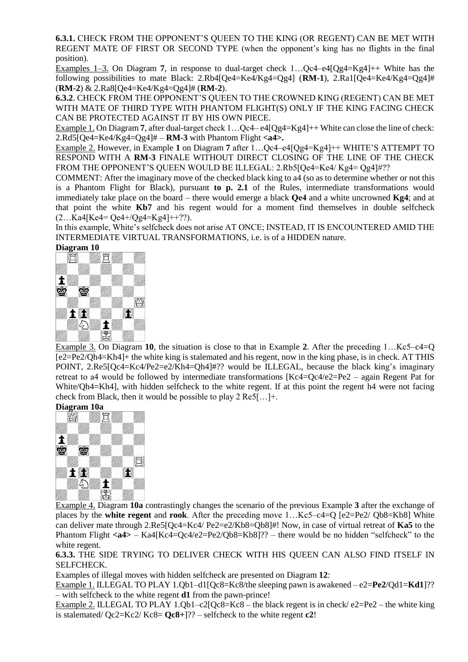**6.3.1.** CHECK FROM THE OPPONENT'S QUEEN TO THE KING (OR REGENT) CAN BE MET WITH REGENT MATE OF FIRST OR SECOND TYPE (when the opponent's king has no flights in the final position).

Examples 1–3. On Diagram **7**, in response to dual-target check 1…Qc4–e4[Qg4=Kg4]++ White has the following possibilities to mate Black: 2.Rb4[Qe4=Ke4/Kg4=Qg4] (**RM-1**), 2.Ra1[Qe4=Ke4/Kg4=Qg4]# (**RM-2**) & 2.Ra8[Qe4=Ke4/Kg4=Qg4]# (**RM-2**).

**6.3.2**. CHECK FROM THE OPPONENT'S QUEEN TO THE CROWNED KING (REGENT) CAN BE MET WITH MATE OF THIRD TYPE WITH PHANTOM FLIGHT(S) ONLY IF THE KING FACING CHECK CAN BE PROTECTED AGAINST IT BY HIS OWN PIECE.

Example 1. On Diagram 7, after dual-target check 1...  $Oc4 - e4[Og4=Kg4]+$  White can close the line of check: 2.Rd5[Qe4=Ke4/Kg4=Qg4]# – **RM-3** with Phantom Flight **<a4>.**

Example 2. However, in Example **1** on Diagram **7** after 1…Qc4–e4[Qg4=Kg4]++ WHITE'S ATTEMPT TO RESPOND WITH A **RM-3** FINALE WITHOUT DIRECT CLOSING OF THE LINE OF THE CHECK FROM THE OPPONENT'S QUEEN WOULD BE ILLEGAL: 2.Rb5[Qe4=Ke4/ Kg4= Qg4]#??

COMMENT: After the imaginary move of the checked black king to a4 (so as to determine whether or not this is a Phantom Flight for Black), pursuant **to p. 2.1** of the Rules, intermediate transformations would immediately take place on the board – there would emerge a black **Qе4** and a white uncrowned **Kg4**; and at that point the white **Kb7** and his regent would for a moment find themselves in double selfcheck  $(2...Ka4[Ke4=Oe4+/Og4=Kg4]++?$ ?).

In this example, White's selfcheck does not arise AT ONCE; INSTEAD, IT IS ENCOUNTERED AMID THE INTERMEDIATE VIRTUAL TRANSFORMATIONS, i.e. is of a HIDDEN nature.

#### **Diagram 10**



Example 3. On Diagram **10**, the situation is close to that in Example **2**. After the preceding 1…Kс5–c4=Q [e2=Pe2/Qh4=Kh4]+ the white king is stalemated and his regent, now in the king phase, is in check. AT THIS POINT, 2.Re5[Qc4=Kc4/Pe2=e2/Kh4=Qh4]#?? would be ILLEGAL, because the black king's imaginary retreat to а4 would be followed by intermediate transformations [Kc4=Qc4/e2=Pe2 – again Regent Pat for White/Oh4=Kh4], with hidden selfcheck to the white regent. If at this point the regent h4 were not facing check from Black, then it would be possible to play 2 Re5[…]+.

#### **Diagram 10a**



Example 4. Diagram **10a** contrastingly changes the scenario of the previous Example **3** after the exchange of places by the **white regent** and **rook**. After the preceding move 1…Kc5–c4=Q [e2=Pe2/ Qb8=Kb8] White can deliver mate through 2.Re5[Qc4=Kc4/ Pe2=e2/Kb8=Qb8]#! Now, in case of virtual retreat of **Ka5** to the Phantom Flight **<a4>** – Ka4[Kc4=Qc4/e2=Pe2/Qb8=Kb8]?? – there would be no hidden "selfcheck" to the white regent.

**6.3.3.** THE SIDE TRYING TO DELIVER CHECK WITH HIS QUEEN CAN ALSO FIND ITSELF IN SELFCHECK.

Examples of illegal moves with hidden selfcheck are presented on Diagram **12**:

Example 1. ILLEGAL TO PLAY 1.Qb1–d1[Qc8=Kc8/the sleeping pawn is awakened – e2=**Pe2**/Qd1=**Kd1**]?? – with selfcheck to the white regent **d1** from the pawn-prince!

Example 2. ILLEGAL TO PLAY 1.0b1–c2[Qc8=Kc8 – the black regent is in check/  $e2=Pe2$  – the white king is stalemated/ Qc2=Kc2/ Kc8= **Qc8+**]?? – selfcheck to the white regent **c2**!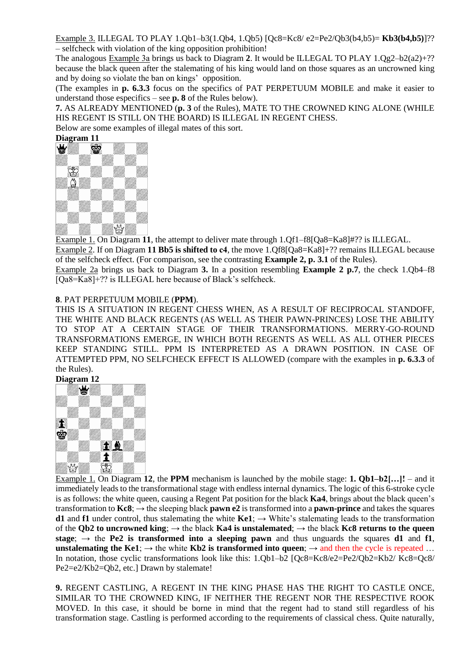Example 3. ILLEGAL TO PLAY 1.Qb1–b3(1.Qb4, 1.Qb5) [Qc8=Kc8/ e2=Pe2/Qb3(b4,b5)= **Kb3(b4,b5)**]?? – selfcheck with violation of the king opposition prohibition!

The analogous Example 3а brings us back to Diagram **2**. It would be ILLEGAL TO PLAY 1.Qg2–b2(a2)+?? because the black queen after the stalemating of his king would land on those squares as an uncrowned king and by doing so violate the ban on kings' opposition.

(The examples in **p. 6.3.3** focus on the specifics of PAT PERPETUUM MOBILE and make it easier to understand those especifics – see **p. 8** of the Rules below).

**7.** AS ALREADY MENTIONED (**p. 3** of the Rules), MATE TO THE CROWNED KING ALONE (WHILE HIS REGENT IS STILL ON THE BOARD) IS ILLEGAL IN REGENT CHESS.

Below are some examples of illegal mates of this sort.



Example 1. On Diagram **11**, the attempt to deliver mate through 1.Qf1–f8[Qa8=Ka8]#?? is ILLEGAL. Example 2. If on Diagram **11 Bb5 is shifted to с4**, the move 1.Qf8[Qa8=Ka8]+?? remains ILLEGAL because of the selfcheck effect. (For comparison, see the contrasting **Example 2, p. 3.1** of the Rules).

Example 2a brings us back to Diagram **3.** In a position resembling **Example 2 p.7**, the check 1.Qb4–f8 [Qa8=Ka8]+?? is ILLEGAL here because of Black's selfcheck.

#### **8**. PAT PERPETUUM MOBILE (**PPM**).

THIS IS A SITUATION IN REGENT CHESS WHEN, AS A RESULT OF RECIPROCAL STANDOFF, THE WHITE AND BLACK REGENTS (AS WELL AS THEIR PAWN-PRINCES) LOSE THE ABILITY TO STOP AT A CERTAIN STAGE OF THEIR TRANSFORMATIONS. MERRY-GO-ROUND TRANSFORMATIONS EMERGE, IN WHICH BOTH REGENTS AS WELL AS ALL OTHER PIECES KEEP STANDING STILL. PPM IS INTERPRETED AS A DRAWN POSITION. IN CASE OF ATTEMPTED PPM, NO SELFCHECK EFFECT IS ALLOWED (compare with the examples in **p. 6.3.3** of the Rules).



Example 1. On Diagram **12**, the **PPM** mechanism is launched by the mobile stage: **1. Qb1–b2[…]!** – and it immediately leads to the transformational stage with endless internal dynamics. The logic of this 6-stroke cycle is as follows: the white queen, causing a Regent Pat position for the black **Ka4**, brings about the black queen's transformation to  $Kc8$ ;  $\rightarrow$  the sleeping black **pawn e2** is transformed into a **pawn-prince** and takes the squares **d1** and **f1** under control, thus stalemating the white  $Kef$ ;  $\rightarrow$  White's stalemating leads to the transformation of the **Qb2** to uncrowned king;  $\rightarrow$  the black **Ka4** is unstalemated;  $\rightarrow$  the black **Kc8** returns to the queen **stage**;  $\rightarrow$  the **Pe2** is transformed into a sleeping pawn and thus unguards the squares **d1** and **f1**, **unstalemating the Ke1;**  $\rightarrow$  the white **Kb2 is transformed into queen**;  $\rightarrow$  and then the cycle is repeated ... In notation, those cyclic transformations look like this: 1.Qb1–b2 [Qc8=Kc8/e2=Pe2/Qb2=Kb2/ Kc8=Qc8/ Pe2=e2/Kb2=Qb2, etc.] Drawn by stalemate!

**9.** REGENT CASTLING, A REGENT IN THE KING PHASE HAS THE RIGHT TO CASTLE ONCE, SIMILAR TO THE CROWNED KING, IF NEITHER THE REGENT NOR THE RESPECTIVE ROOK MOVED. In this case, it should be borne in mind that the regent had to stand still regardless of his transformation stage. Castling is performed according to the requirements of classical chess. Quite naturally,